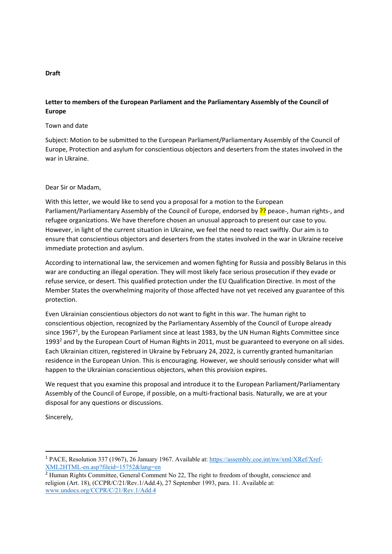### **Draft**

## **Letter to members of the European Parliament and the Parliamentary Assembly of the Council of Europe**

#### Town and date

Subject: Motion to be submitted to the European Parliament/Parliamentary Assembly of the Council of Europe, Protection and asylum for conscientious objectors and deserters from the states involved in the war in Ukraine.

#### Dear Sir or Madam,

With this letter, we would like to send you a proposal for a motion to the European Parliament/Parliamentary Assembly of the Council of Europe, endorsed by ?? peace-, human rights-, and refugee organizations. We have therefore chosen an unusual approach to present our case to you. However, in light of the current situation in Ukraine, we feel the need to react swiftly. Our aim is to ensure that conscientious objectors and deserters from the states involved in the war in Ukraine receive immediate protection and asylum.

According to international law, the servicemen and women fighting for Russia and possibly Belarus in this war are conducting an illegal operation. They will most likely face serious prosecution if they evade or refuse service, or desert. This qualified protection under the EU Qualification Directive. In most of the Member States the overwhelming majority of those affected have not yet received any guarantee of this protection.

Even Ukrainian conscientious objectors do not want to fight in this war. The human right to conscientious objection, recognized by the Parliamentary Assembly of the Council of Europe already since 1967<sup>1</sup>, by the European Parliament since at least 1983, by the UN Human Rights Committee since 1993<sup>2</sup> and by the European Court of Human Rights in 2011, must be guaranteed to everyone on all sides. Each Ukrainian citizen, registered in Ukraine by February 24, 2022, is currently granted humanitarian residence in the European Union. This is encouraging. However, we should seriously consider what will happen to the Ukrainian conscientious objectors, when this provision expires.

We request that you examine this proposal and introduce it to the European Parliament/Parliamentary Assembly of the Council of Europe, if possible, on a multi‐fractional basis. Naturally, we are at your disposal for any questions or discussions.

Sincerely,

<sup>&</sup>lt;sup>1</sup> PACE, Resolution 337 (1967), 26 January 1967. Available at: https://assembly.coe.int/nw/xml/XRef/Xref-XML2HTML-en.asp?fileid=15752&lang=en

<sup>&</sup>lt;sup>2</sup> Human Rights Committee, General Comment No 22, The right to freedom of thought, conscience and religion (Art. 18), (CCPR/C/21/Rev.1/Add.4), 27 September 1993, para. 11. Available at: www.undocs.org/CCPR/C/21/Rev.1/Add.4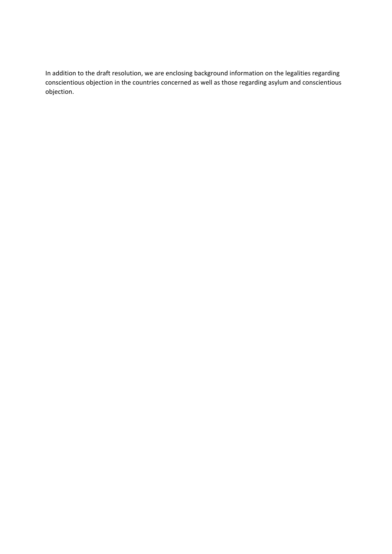In addition to the draft resolution, we are enclosing background information on the legalities regarding conscientious objection in the countries concerned as well as those regarding asylum and conscientious objection.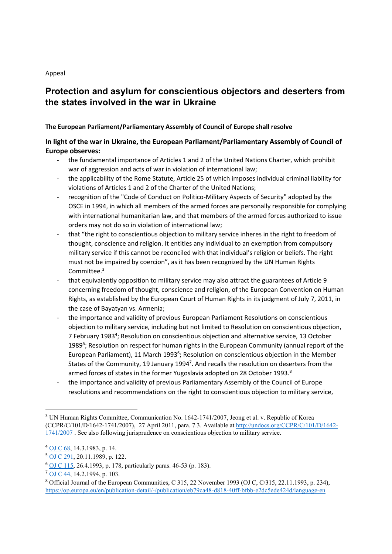Appeal

# **Protection and asylum for conscientious objectors and deserters from the states involved in the war in Ukraine**

## **The European Parliament/Parliamentary Assembly of Council of Europe shall resolve**

# **In light of the war in Ukraine, the European Parliament/Parliamentary Assembly of Council of Europe observes:**

- the fundamental importance of Articles 1 and 2 of the United Nations Charter, which prohibit war of aggression and acts of war in violation of international law;
- ‐ the applicability of the Rome Statute, Article 25 of which imposes individual criminal liability for violations of Articles 1 and 2 of the Charter of the United Nations;
- ‐ recognition of the "Code of Conduct on Politico‐Military Aspects of Security" adopted by the OSCE in 1994, in which all members of the armed forces are personally responsible for complying with international humanitarian law, and that members of the armed forces authorized to issue orders may not do so in violation of international law;
- that "the right to conscientious objection to military service inheres in the right to freedom of thought, conscience and religion. It entitles any individual to an exemption from compulsory military service if this cannot be reconciled with that individual's religion or beliefs. The right must not be impaired by coercion", as it has been recognized by the UN Human Rights Committee.3
- ‐ that equivalently opposition to military service may also attract the guarantees of Article 9 concerning freedom of thought, conscience and religion, of the European Convention on Human Rights, as established by the European Court of Human Rights in its judgment of July 7, 2011, in the case of Bayatyan vs. Armenia;
- ‐ the importance and validity of previous European Parliament Resolutions on conscientious objection to military service, including but not limited to Resolution on conscientious objection, 7 February 1983<sup>4</sup>; Resolution on conscientious objection and alternative service, 13 October 1989<sup>5</sup>; Resolution on respect for human rights in the European Community (annual report of the European Parliament), 11 March 1993<sup>6</sup>; Resolution on conscientious objection in the Member States of the Community, 19 January 1994<sup>7</sup>. And recalls the resolution on deserters from the armed forces of states in the former Yugoslavia adopted on 28 October 1993.<sup>8</sup>
- ‐ the importance and validity of previous Parliamentary Assembly of the Council of Europe resolutions and recommendations on the right to conscientious objection to military service,

<sup>&</sup>lt;sup>3</sup> UN Human Rights Committee, Communication No. 1642-1741/2007, Jeong et al. v. Republic of Korea (CCPR/C/101/D/1642-1741/2007), 27 April 2011, para. 7.3. Available at http://undocs.org/CCPR/C/101/D/1642- 1741/2007 . See also following jurisprudence on conscientious objection to military service.

<sup>4</sup> OJ C 68, 14.3.1983, p. 14.

<sup>5</sup> OJ C 291, 20.11.1989, p. 122.

<sup>6</sup> OJ C 115, 26.4.1993, p. 178, particularly paras. 46-53 (p. 183).

<sup>7</sup> OJ C 44, 14.2.1994, p. 103.

<sup>&</sup>lt;sup>8</sup> Official Journal of the European Communities, C 315, 22 November 1993 (OJ C, C/315, 22.11.1993, p. 234), https://op.europa.eu/en/publication-detail/-/publication/eb79ca48-d818-40ff-bfbb-e2dc5ede424d/language-en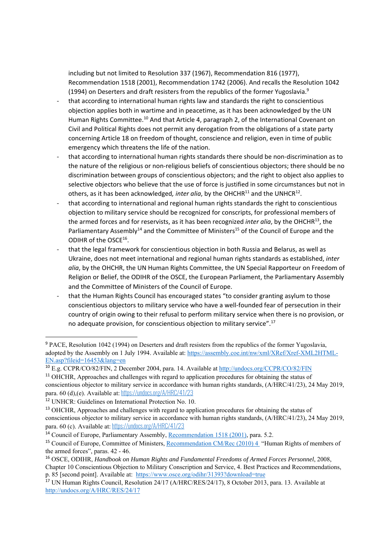including but not limited to Resolution 337 (1967), Recommendation 816 (1977), Recommendation 1518 (2001), Recommendation 1742 (2006). And recalls the Resolution 1042 (1994) on Deserters and draft resisters from the republics of the former Yugoslavia. $9$ 

- ‐ that according to international human rights law and standards the right to conscientious objection applies both in wartime and in peacetime, as it has been acknowledged by the UN Human Rights Committee.10 And that Article 4, paragraph 2, of the International Covenant on Civil and Political Rights does not permit any derogation from the obligations of a state party concerning Article 18 on freedom of thought, conscience and religion, even in time of public emergency which threatens the life of the nation.
- ‐ that according to international human rights standards there should be non‐discrimination as to the nature of the religious or non-religious beliefs of conscientious objectors; there should be no discrimination between groups of conscientious objectors; and the right to object also applies to selective objectors who believe that the use of force is justified in some circumstances but not in others, as it has been acknowledged, *inter alia*, by the OHCHR<sup>11</sup> and the UNHCR<sup>12</sup>.
- ‐ that according to international and regional human rights standards the right to conscientious objection to military service should be recognized for conscripts, for professional members of the armed forces and for reservists, as it has been recognized *inter alia*, by the OHCHR13, the Parliamentary Assembly<sup>14</sup> and the Committee of Ministers<sup>15</sup> of the Council of Europe and the ODIHR of the OSCE16.
- ‐ that the legal framework for conscientious objection in both Russia and Belarus, as well as Ukraine, does not meet international and regional human rights standards as established, *inter alia*, by the OHCHR, the UN Human Rights Committee, the UN Special Rapporteur on Freedom of Religion or Belief, the ODIHR of the OSCE, the European Parliament, the Parliamentary Assembly and the Committee of Ministers of the Council of Europe.
- that the Human Rights Council has encouraged states "to consider granting asylum to those conscientious objectors to military service who have a well‐founded fear of persecution in their country of origin owing to their refusal to perform military service when there is no provision, or no adequate provision, for conscientious objection to military service".17

<sup>&</sup>lt;sup>9</sup> PACE, Resolution 1042 (1994) on Deserters and draft resisters from the republics of the former Yugoslavia, adopted by the Assembly on 1 July 1994. Available at: https://assembly.coe.int/nw/xml/XRef/Xref-XML2HTML-EN.asp?fileid=16453&lang=en

<sup>&</sup>lt;sup>10</sup> E.g. CCPR/CO/82/FIN, 2 December 2004, para. 14. Available at http://undocs.org/CCPR/CO/82/FIN

<sup>&</sup>lt;sup>11</sup> OHCHR. Approaches and challenges with regard to application procedures for obtaining the status of conscientious objector to military service in accordance with human rights standards, (A/HRC/41/23), 24 May 2019, para. 60 (d),(e). Available at:https://undocs.org/A/HRC/41/23

<sup>12</sup> UNHCR: Guidelines on International Protection No. 10.

<sup>&</sup>lt;sup>13</sup> OHCHR, Approaches and challenges with regard to application procedures for obtaining the status of conscientious objector to military service in accordance with human rights standards, (A/HRC/41/23), 24 May 2019, para. 60 (c). Available at: https://undocs.org/A/HRC/41/23

<sup>&</sup>lt;sup>14</sup> Council of Europe, Parliamentary Assembly, Recommendation 1518 (2001), para. 5.2.

<sup>15</sup> Council of Europe, Committee of Ministers, Recommendation CM/Rec (2010) 4 "Human Rights of members of the armed forces", paras. 42 - 46.

<sup>16</sup> OSCE, ODIHR, *Handbook on Human Rights and Fundamental Freedoms of Armed Forces Personnel*, 2008, Chapter 10 Conscientious Objection to Military Conscription and Service, 4. Best Practices and Recommendations, p. 85 [second point]. Available at: https://www.osce.org/odihr/31393?download=true

<sup>17</sup> UN Human Rights Council, Resolution 24/17 (A/HRC/RES/24/17), 8 October 2013, para. 13. Available at http://undocs.org/A/HRC/RES/24/17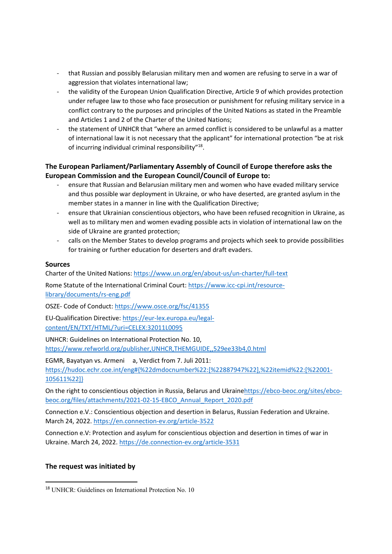- ‐ that Russian and possibly Belarusian military men and women are refusing to serve in a war of aggression that violates international law;
- ‐ the validity of the European Union Qualification Directive, Article 9 of which provides protection under refugee law to those who face prosecution or punishment for refusing military service in a conflict contrary to the purposes and principles of the United Nations as stated in the Preamble and Articles 1 and 2 of the Charter of the United Nations;
- the statement of UNHCR that "where an armed conflict is considered to be unlawful as a matter of international law it is not necessary that the applicant" for international protection "be at risk of incurring individual criminal responsibility"18.

## **The European Parliament/Parliamentary Assembly of Council of Europe therefore asks the European Commission and the European Council/Council of Europe to:**

- ‐ ensure that Russian and Belarusian military men and women who have evaded military service and thus possible war deployment in Ukraine, or who have deserted, are granted asylum in the member states in a manner in line with the Qualification Directive;
- ‐ ensure that Ukrainian conscientious objectors, who have been refused recognition in Ukraine, as well as to military men and women evading possible acts in violation of international law on the side of Ukraine are granted protection;
- ‐ calls on the Member States to develop programs and projects which seek to provide possibilities for training or further education for deserters and draft evaders.

## **Sources**

Charter of the United Nations: https://www.un.org/en/about‐us/un‐charter/full‐text

Rome Statute of the International Criminal Court: https://www.icc-cpi.int/resourcelibrary/documents/rs‐eng.pdf

OSZE‐ Code of Conduct: https://www.osce.org/fsc/41355

EU‐Qualification Directive: https://eur‐lex.europa.eu/legal‐ content/EN/TXT/HTML/?uri=CELEX:32011L0095

UNHCR: Guidelines on International Protection No. 10, https://www.refworld.org/publisher,UNHCR,THEMGUIDE,,529ee33b4,0.html

EGMR, Bayatyan vs. Armeni a, Verdict from 7. Juli 2011:

https://hudoc.echr.coe.int/eng#{%22dmdocnumber%22:[%22887947%22],%22itemid%22:[%22001‐ 105611%22]}

On the right to conscientious objection in Russia, Belarus and Ukrainehttps://ebco-beoc.org/sites/ebcobeoc.org/files/attachments/2021‐02‐15‐EBCO\_Annual\_Report\_2020.pdf

Connection e.V.: Conscientious objection and desertion in Belarus, Russian Federation and Ukraine. March 24, 2022. https://en.connection‐ev.org/article‐3522

Connection e.V: Protection and asylum for conscientious objection and desertion in times of war in Ukraine. March 24, 2022. https://de.connection‐ev.org/article‐3531

### **The request was initiated by**

<sup>18</sup> UNHCR: Guidelines on International Protection No. 10